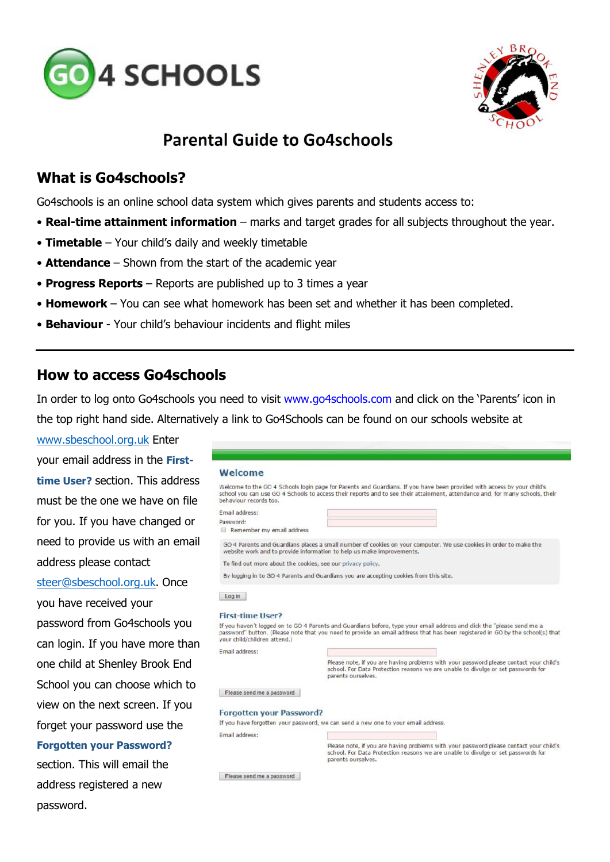



# **Parental Guide to Go4schools**

## **What is Go4schools?**

Go4schools is an online school data system which gives parents and students access to:

- **Real-time attainment information**  marks and target grades for all subjects throughout the year.
- **Timetable**  Your child's daily and weekly timetable
- **Attendance**  Shown from the start of the academic year
- **Progress Reports**  Reports are published up to 3 times a year
- **Homework**  You can see what homework has been set and whether it has been completed.
- **Behaviour**  Your child's behaviour incidents and flight miles

### **How to access Go4schools**

In order to log onto Go4schools you need to visit www.go4schools.com and click on the 'Parents' icon in the top right hand side. Alternatively a link to Go4Schools can be found on our schools website at

[www.sbeschool.org.uk](http://www.sbeschool.org.uk/) Enter your email address in the **Firsttime User?** section. This address must be the one we have on file for you. If you have changed or need to provide us with an email address please contact [steer@sbeschool.org.uk.](mailto:steer@sbeschool.org.uk) Once you have received your password from Go4schools you can login. If you have more than one child at Shenley Brook End School you can choose which to view on the next screen. If you forget your password use the **Forgotten your Password?** 

section. This will email the address registered a new password.

| Welcome                                                     |                                                                                                                                                                                                                                                         |
|-------------------------------------------------------------|---------------------------------------------------------------------------------------------------------------------------------------------------------------------------------------------------------------------------------------------------------|
| behaviour records too.                                      | Welcome to the GO 4 Schools login page for Parents and Guardians. If you have been provided with access by your child's<br>school you can use GO 4 Schools to access their reports and to see their attainment, attendance and, for many schools, their |
| Email address:                                              |                                                                                                                                                                                                                                                         |
| Password:<br>Remember my email address                      |                                                                                                                                                                                                                                                         |
|                                                             | GO 4 Parents and Guardians places a small number of cookies on your computer. We use cookies in order to make the<br>website work and to provide information to help us make improvements.                                                              |
| To find out more about the cookies, see our privacy policy. |                                                                                                                                                                                                                                                         |
|                                                             | By logging in to GO 4 Parents and Guardians you are accepting cookies from this site.                                                                                                                                                                   |
| your child/children attend.)                                | If you haven't logged on to GO 4 Parents and Guardians before, type your email address and click the "please send me a<br>password" button. (Please note that you need to provide an email address that has been registered in GO by the school(s) that |
| Email address:                                              |                                                                                                                                                                                                                                                         |
|                                                             | Please note, if you are having problems with your password please contact your child's<br>school. For Data Protection reasons we are unable to divulge or set passwords for<br>parents ourselves.                                                       |
| Please send me a password                                   |                                                                                                                                                                                                                                                         |
|                                                             |                                                                                                                                                                                                                                                         |
| <b>Forgotten your Password?</b>                             |                                                                                                                                                                                                                                                         |
|                                                             | If you have forgotten your password, we can send a new one to your email address.                                                                                                                                                                       |
| <b>Email address:</b>                                       |                                                                                                                                                                                                                                                         |
|                                                             | Please note, if you are having problems with your password please contact your child's<br>school. For Data Protection reasons we are unable to divulge or set passwords for<br>parents ourselves.                                                       |

Please send me a password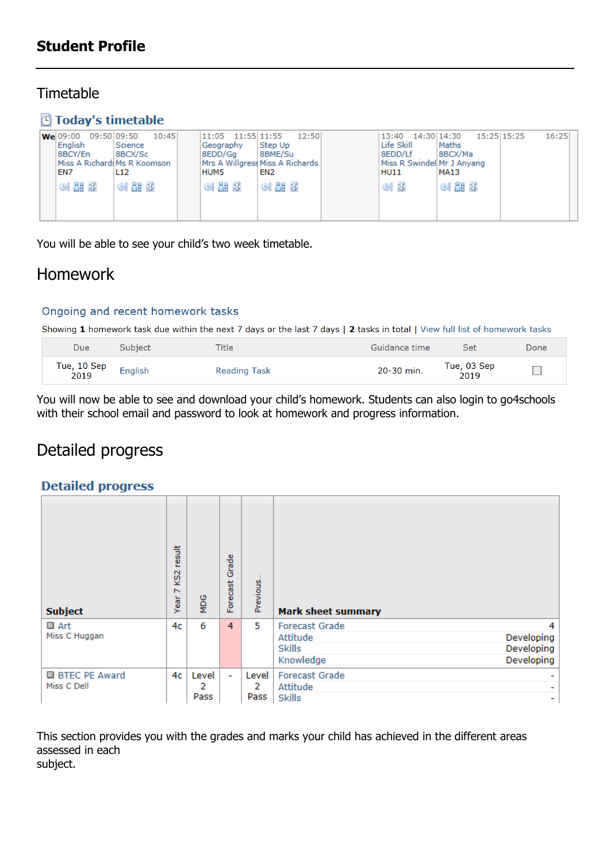## **Timetable**

## **Today's timetable**

| 09:50 09:50<br><b>We</b> 09:00<br>English<br>8BCY/En<br>EN7 | 10:45<br>Science<br>8BCX/Sc<br>Miss A Richard: Ms R Koomson<br>L <sub>12</sub> | 11:55 11:55<br>11:05<br>Geography<br>8EDD/Ga<br><b>HUM5</b> | 12:50<br>Step Up<br>8BME/Su<br>Mrs A Willgress Miss A Richards<br>EN2 | 13:40<br>Life Skill<br>8EDD/Lf<br>Miss R Swindel Mr J Anyang<br><b>HU11</b> | 15:25 15:25<br>14:30 14:30<br>Maths<br>8BCX/Ma<br>MA13 | 16:25 |
|-------------------------------------------------------------|--------------------------------------------------------------------------------|-------------------------------------------------------------|-----------------------------------------------------------------------|-----------------------------------------------------------------------------|--------------------------------------------------------|-------|
| <b>OI &amp;B ①</b>                                          | O1200                                                                          | <b>OI &amp;B ①</b>                                          | O1200                                                                 | GI I                                                                        | $O1$ $\Delta E$ $\hat{U}$                              |       |

You will be able to see your child's two week timetable.

# Homework

#### Ongoing and recent homework tasks

Showing 1 homework task due within the next 7 days or the last 7 days | 2 tasks in total | View full list of homework tasks

| Due                 | Subject | <b>Title</b>        | Guidance time | Set                 | Done   |
|---------------------|---------|---------------------|---------------|---------------------|--------|
| Tue, 10 Sep<br>2019 | English | <b>Reading Task</b> | 20-30 min.    | Tue, 03 Sep<br>2019 | $\Box$ |

You will now be able to see and download your child's homework. Students can also login to go4schools with their school email and password to look at homework and progress information.

# Detailed progress

#### **Detailed progress**

| <b>Subject</b>                         | result<br>KS <sub>2</sub><br>$\overline{ }$<br>Year | <b>MDG</b>         | Grade<br>Forecast | Previous           | <b>Mark sheet summary</b>                                                                                      |
|----------------------------------------|-----------------------------------------------------|--------------------|-------------------|--------------------|----------------------------------------------------------------------------------------------------------------|
| ■ Art<br>Miss C Huggan                 | 4c                                                  | 6                  | 4                 | 5                  | <b>Forecast Grade</b><br>4<br>Attitude<br>Developing<br>Developing<br><b>Skills</b><br>Developing<br>Knowledge |
| <b>BI BTEC PE Award</b><br>Miss C Dell | 4c                                                  | Level<br>2<br>Pass | ÷.                | Level<br>2<br>Pass | <b>Forecast Grade</b><br>Attitude<br>٠<br><b>Skills</b><br>۰                                                   |

This section provides you with the grades and marks your child has achieved in the different areas assessed in each subject.